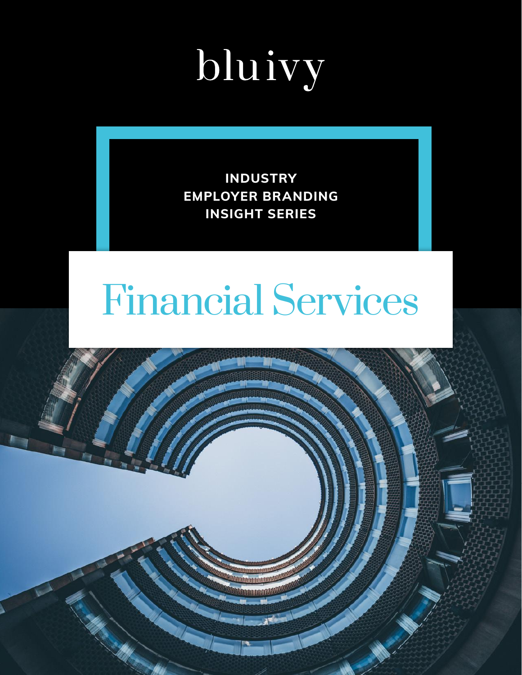# bluivy

**INDUSTRY EMPLOYER BRANDING INSIGHT SERIES**

## Financial Services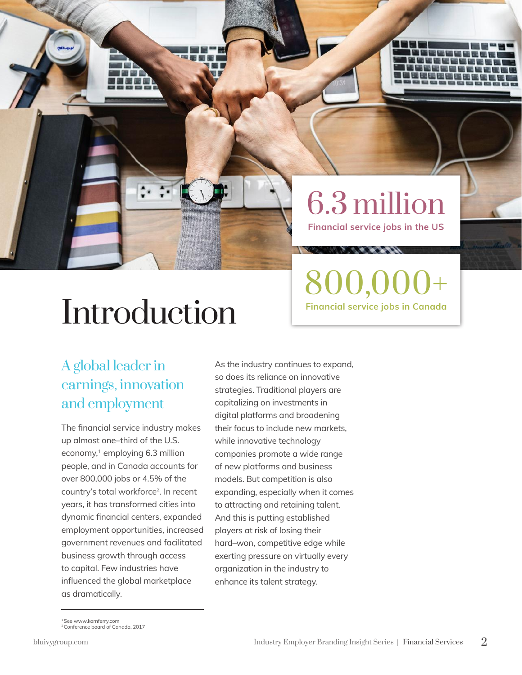## 6.3 million

**Financial service jobs in the US**

*COMMAND* 

800,000+ **Financial service jobs in Canada**

## Introduction

### A global leader in earnings, innovation and employment

The financial service industry makes up almost one–third of the U.S. economy, <sup>1</sup>employing 6.3 million people, and in Canada accounts for over 800,000 jobs or 4.5% of the country's total workforce<sup>2</sup>. In recent years, it has transformed cities into dynamic financial centers, expanded employment opportunities, increased government revenues and facilitated business growth through access to capital. Few industries have influenced the global marketplace as dramatically.

As the industry continues to expand, so does its reliance on innovative strategies. Traditional players are capitalizing on investments in digital platforms and broadening their focus to include new markets, while innovative technology companies promote a wide range of new platforms and business models. But competition is also expanding, especially when it comes to attracting and retaining talent. And this is putting established players at risk of losing their hard–won, competitive edge while exerting pressure on virtually every organization in the industry to enhance its talent strategy.

<sup>1</sup>See www.kornferry.com <sup>2</sup>Conference board of Canada, 2017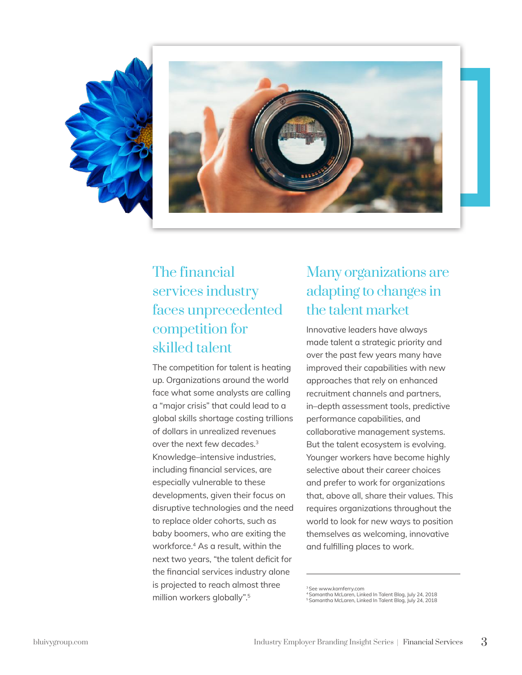



#### The financial services industry faces unprecedented competition for skilled talent

The competition for talent is heating up. Organizations around the world face what some analysts are calling a "major crisis" that could lead to a global skills shortage costing trillions of dollars in unrealized revenues over the next few decades.<sup>3</sup> Knowledge–intensive industries, including financial services, are especially vulnerable to these developments, given their focus on disruptive technologies and the need to replace older cohorts, such as baby boomers, who are exiting the workforce.4 As a result, within the next two years, "the talent deficit for the financial services industry alone is projected to reach almost three million workers globally".<sup>5</sup>

#### Many organizations are adapting to changes in the talent market

Innovative leaders have always made talent a strategic priority and over the past few years many have improved their capabilities with new approaches that rely on enhanced recruitment channels and partners, in–depth assessment tools, predictive performance capabilities, and collaborative management systems. But the talent ecosystem is evolving. Younger workers have become highly selective about their career choices and prefer to work for organizations that, above all, share their values. This requires organizations throughout the world to look for new ways to position themselves as welcoming, innovative and fulfilling places to work.

<sup>3</sup> See www.kornferry.com 4 Samantha McLaren, Linked In Talent Blog, July 24, 2018 5 Samantha McLaren, Linked In Talent Blog, July 24, 2018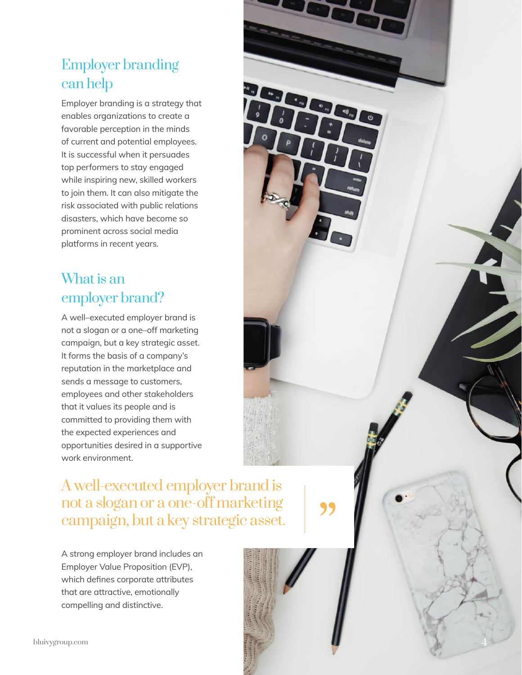#### Employer branding can help

Employer branding is a strategy that enables organizations to create a favorable perception in the minds of current and potential employees. It is successful when it persuades top performers to stay engaged while inspiring new, skilled workers to join them. It can also mitigate the risk associated with public relations disasters, which have become so prominent across social media platforms in recent years.

#### What is an employer brand?

A well–executed employer brand is not a slogan or a one–off marketing campaign, but a key strategic asset. It forms the basis of a company's reputation in the marketplace and sends a message to customers, employees and other stakeholders that it values its people and is committed to providing them with the expected experiences and opportunities desired in a supportive work environment.

A well-executed employer brand is not a slogan or a one-off marketing campaign, but a key strategic asset.

A strong employer brand includes an Employer Value Proposition (EVP), which defines corporate attributes that are attractive, emotionally compelling and distinctive.

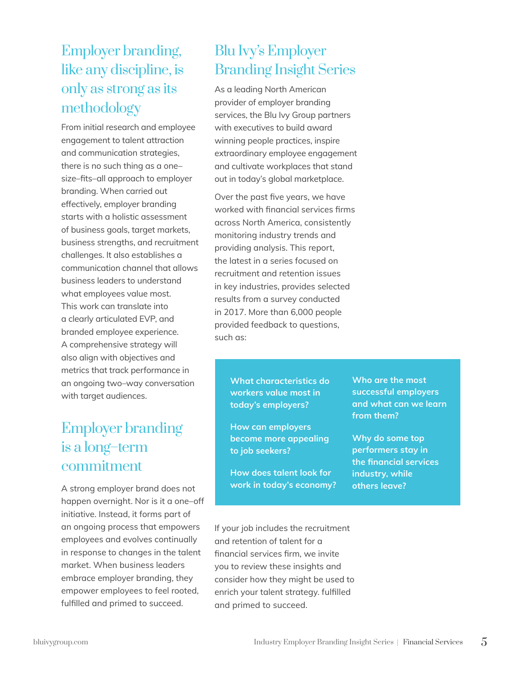#### Employer branding, like any discipline, is only as strong as its methodology

From initial research and employee engagement to talent attraction and communication strategies, there is no such thing as a one– size–fits–all approach to employer branding. When carried out effectively, employer branding starts with a holistic assessment of business goals, target markets, business strengths, and recruitment challenges. It also establishes a communication channel that allows business leaders to understand what employees value most. This work can translate into a clearly articulated EVP, and branded employee experience. A comprehensive strategy will also align with objectives and metrics that track performance in an ongoing two–way conversation with target audiences.

#### Employer branding is a long–term commitment

A strong employer brand does not happen overnight. Nor is it a one–off initiative. Instead, it forms part of an ongoing process that empowers employees and evolves continually in response to changes in the talent market. When business leaders embrace employer branding, they empower employees to feel rooted, fulfilled and primed to succeed.

### Blu Ivy's Employer Branding Insight Series

As a leading North American provider of employer branding services, the Blu Ivy Group partners with executives to build award winning people practices, inspire extraordinary employee engagement and cultivate workplaces that stand out in today's global marketplace.

Over the past five years, we have worked with financial services firms across North America, consistently monitoring industry trends and providing analysis. This report, the latest in a series focused on recruitment and retention issues in key industries, provides selected results from a survey conducted in 2017. More than 6,000 people provided feedback to questions, such as:

> **What characteristics do workers value most in today's employers?**

**How can employers become more appealing to job seekers?** 

**How does talent look for work in today's economy?**  **Who are the most successful employers and what can we learn from them?** 

**Why do some top performers stay in the financial services industry, while others leave?** 

If your job includes the recruitment and retention of talent for a financial services firm, we invite you to review these insights and consider how they might be used to enrich your talent strategy. fulfilled and primed to succeed.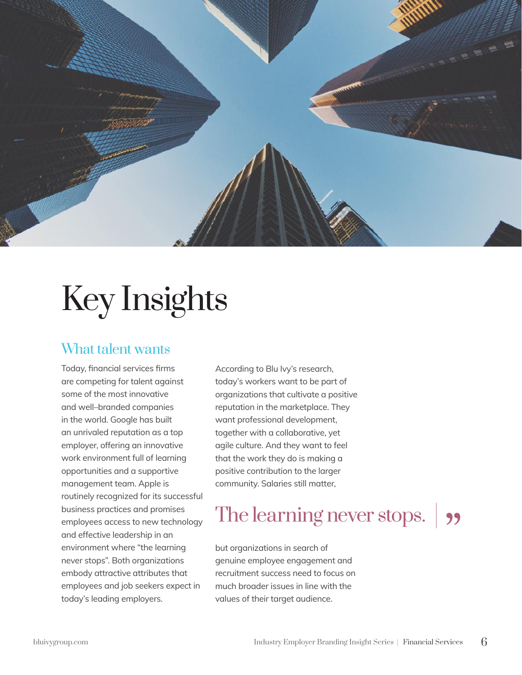

## Key Insights

#### What talent wants

Today, financial services firms are competing for talent against some of the most innovative and well–branded companies in the world. Google has built an unrivaled reputation as a top employer, offering an innovative work environment full of learning opportunities and a supportive management team. Apple is routinely recognized for its successful business practices and promises employees access to new technology and effective leadership in an environment where "the learning never stops". Both organizations embody attractive attributes that employees and job seekers expect in today's leading employers.

According to Blu Ivy's research, today's workers want to be part of organizations that cultivate a positive reputation in the marketplace. They want professional development, together with a collaborative, yet agile culture. And they want to feel that the work they do is making a positive contribution to the larger community. Salaries still matter,

### The learning never stops.  $|$  "

but organizations in search of genuine employee engagement and recruitment success need to focus on much broader issues in line with the values of their target audience.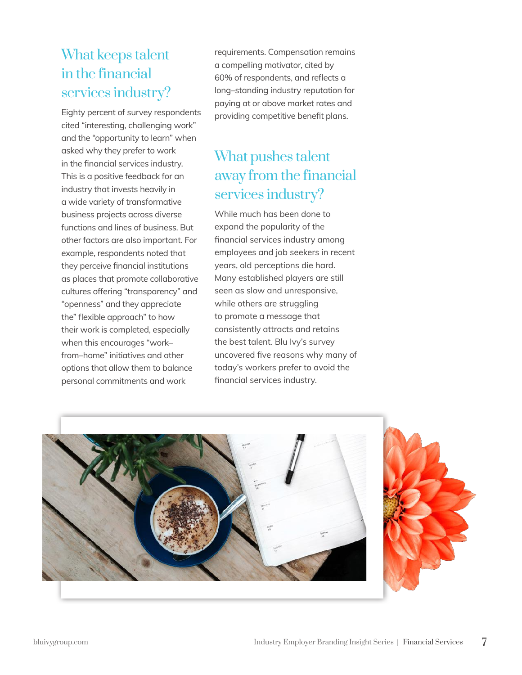#### What keeps talent in the financial services industry?

Eighty percent of survey respondents cited "interesting, challenging work" and the "opportunity to learn" when asked why they prefer to work in the financial services industry. This is a positive feedback for an industry that invests heavily in a wide variety of transformative business projects across diverse functions and lines of business. But other factors are also important. For example, respondents noted that they perceive financial institutions as places that promote collaborative cultures offering "transparency" and "openness" and they appreciate the" flexible approach" to how their work is completed, especially when this encourages "work– from–home" initiatives and other options that allow them to balance personal commitments and work

requirements. Compensation remains a compelling motivator, cited by 60% of respondents, and reflects a long–standing industry reputation for paying at or above market rates and providing competitive benefit plans.

#### What pushes talent away from the financial services industry?

While much has been done to expand the popularity of the financial services industry among employees and job seekers in recent years, old perceptions die hard. Many established players are still seen as slow and unresponsive, while others are struggling to promote a message that consistently attracts and retains the best talent. Blu Ivy's survey uncovered five reasons why many of today's workers prefer to avoid the financial services industry.

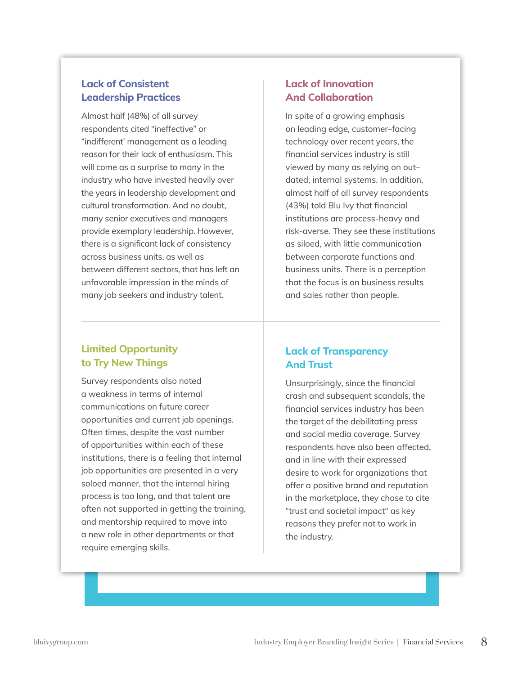#### **Lack of Consistent Leadership Practices**

Almost half (48%) of all survey respondents cited "ineffective" or "indifferent' management as a leading reason for their lack of enthusiasm. This will come as a surprise to many in the industry who have invested heavily over the years in leadership development and cultural transformation. And no doubt, many senior executives and managers provide exemplary leadership. However, there is a significant lack of consistency across business units, as well as between different sectors, that has left an unfavorable impression in the minds of many job seekers and industry talent.

#### **Lack of Innovation And Collaboration**

In spite of a growing emphasis on leading edge, customer–facing technology over recent years, the financial services industry is still viewed by many as relying on out– dated, internal systems. In addition, almost half of all survey respondents (43%) told Blu Ivy that financial institutions are process-heavy and risk-averse. They see these institutions as siloed, with little communication between corporate functions and business units. There is a perception that the focus is on business results and sales rather than people.

#### **Limited Opportunity to Try New Things**

Survey respondents also noted a weakness in terms of internal communications on future career opportunities and current job openings. Often times, despite the vast number of opportunities within each of these institutions, there is a feeling that internal job opportunities are presented in a very soloed manner, that the internal hiring process is too long, and that talent are often not supported in getting the training, and mentorship required to move into a new role in other departments or that require emerging skills.

#### **Lack of Transparency And Trust**

Unsurprisingly, since the financial crash and subsequent scandals, the financial services industry has been the target of the debilitating press and social media coverage. Survey respondents have also been affected, and in line with their expressed desire to work for organizations that offer a positive brand and reputation in the marketplace, they chose to cite "trust and societal impact" as key reasons they prefer not to work in the industry.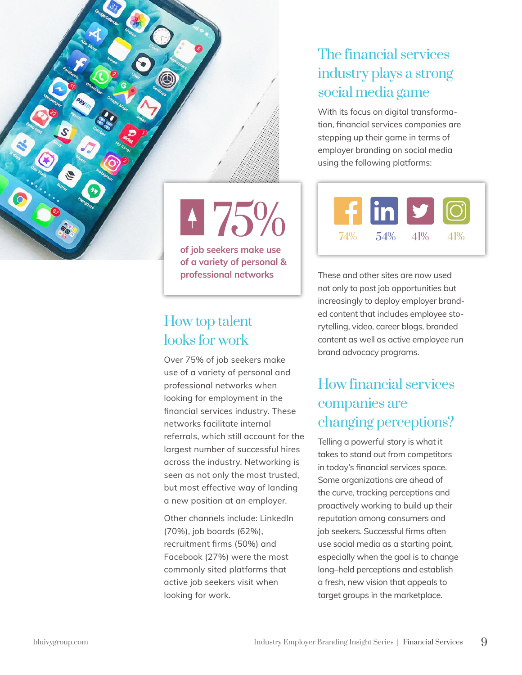

#### How top talent looks for work

Over 75% of job seekers make use of a variety of personal and professional networks when looking for employment in the financial services industry. These networks facilitate internal referrals, which still account for the largest number of successful hires across the industry. Networking is seen as not only the most trusted, but most effective way of landing a new position at an employer.

Other channels include: LinkedIn (70%), job boards (62%), recruitment firms (50%) and Facebook (27%) were the most commonly sited platforms that active job seekers visit when looking for work.

### The financial services industry plays a strong social media game

With its focus on digital transformation, financial services companies are stepping up their game in terms of employer branding on social media using the following platforms:



These and other sites are now used not only to post job opportunities but increasingly to deploy employer branded content that includes employee storytelling, video, career blogs, branded content as well as active employee run brand advocacy programs.

#### How financial services companies are changing perceptions?

Telling a powerful story is what it takes to stand out from competitors in today's financial services space. Some organizations are ahead of the curve, tracking perceptions and proactively working to build up their reputation among consumers and job seekers. Successful firms often use social media as a starting point, especially when the goal is to change long–held perceptions and establish a fresh, new vision that appeals to target groups in the marketplace.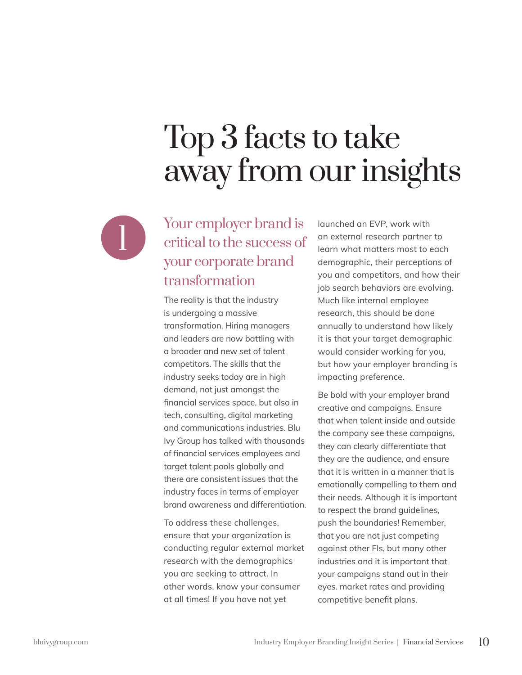## Top 3 facts to take away from our insights

### **1** Your employer brand is<br>critical to the success of your corporate brand transformation

The reality is that the industry is undergoing a massive transformation. Hiring managers and leaders are now battling with a broader and new set of talent competitors. The skills that the industry seeks today are in high demand, not just amongst the financial services space, but also in tech, consulting, digital marketing and communications industries. Blu Ivy Group has talked with thousands of financial services employees and target talent pools globally and there are consistent issues that the industry faces in terms of employer brand awareness and differentiation.

To address these challenges, ensure that your organization is conducting regular external market research with the demographics you are seeking to attract. In other words, know your consumer at all times! If you have not yet

launched an EVP, work with an external research partner to learn what matters most to each demographic, their perceptions of you and competitors, and how their job search behaviors are evolving. Much like internal employee research, this should be done annually to understand how likely it is that your target demographic would consider working for you, but how your employer branding is impacting preference.

Be bold with your employer brand creative and campaigns. Ensure that when talent inside and outside the company see these campaigns, they can clearly differentiate that they are the audience, and ensure that it is written in a manner that is emotionally compelling to them and their needs. Although it is important to respect the brand guidelines, push the boundaries! Remember, that you are not just competing against other FIs, but many other industries and it is important that your campaigns stand out in their eyes. market rates and providing competitive benefit plans.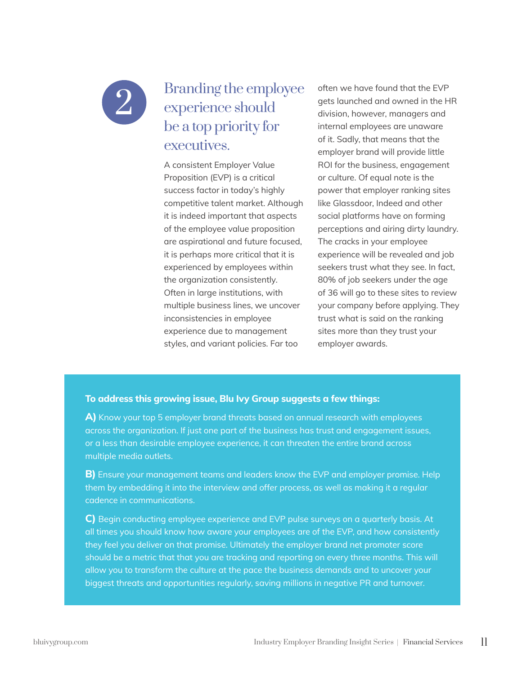# 2

#### Branding the employee experience should be a top priority for executives.

A consistent Employer Value Proposition (EVP) is a critical success factor in today's highly competitive talent market. Although it is indeed important that aspects of the employee value proposition are aspirational and future focused, it is perhaps more critical that it is experienced by employees within the organization consistently. Often in large institutions, with multiple business lines, we uncover inconsistencies in employee experience due to management styles, and variant policies. Far too

often we have found that the EVP gets launched and owned in the HR division, however, managers and internal employees are unaware of it. Sadly, that means that the employer brand will provide little ROI for the business, engagement or culture. Of equal note is the power that employer ranking sites like Glassdoor, Indeed and other social platforms have on forming perceptions and airing dirty laundry. The cracks in your employee experience will be revealed and job seekers trust what they see. In fact, 80% of job seekers under the age of 36 will go to these sites to review your company before applying. They trust what is said on the ranking sites more than they trust your employer awards.

#### **To address this growing issue, Blu Ivy Group suggests a few things:**

**A)** Know your top 5 employer brand threats based on annual research with employees across the organization. If just one part of the business has trust and engagement issues, or a less than desirable employee experience, it can threaten the entire brand across multiple media outlets.

**B)** Ensure your management teams and leaders know the EVP and employer promise. Help them by embedding it into the interview and offer process, as well as making it a regular cadence in communications.

**C)** Begin conducting employee experience and EVP pulse surveys on a quarterly basis. At all times you should know how aware your employees are of the EVP, and how consistently they feel you deliver on that promise. Ultimately the employer brand net promoter score should be a metric that that you are tracking and reporting on every three months. This will allow you to transform the culture at the pace the business demands and to uncover your biggest threats and opportunities regularly, saving millions in negative PR and turnover.